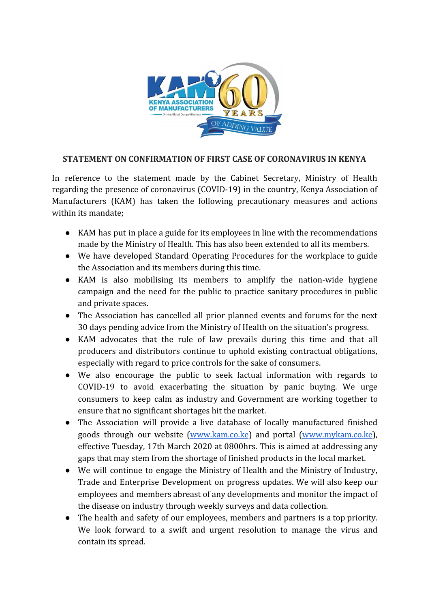

## **STATEMENT ON CONFIRMATION OF FIRST CASE OF CORONAVIRUS IN KENYA**

In reference to the statement made by the Cabinet Secretary, Ministry of Health regarding the presence of coronavirus (COVID-19) in the country, Kenya Association of Manufacturers (KAM) has taken the following precautionary measures and actions within its mandate;

- KAM has put in place a guide for its employees in line with the recommendations made by the Ministry of Health. This has also been extended to all its members.
- We have developed Standard Operating Procedures for the workplace to guide the Association and its members during this time.
- KAM is also mobilising its members to amplify the nation-wide hygiene campaign and the need for the public to practice sanitary procedures in public and private spaces.
- The Association has cancelled all prior planned events and forums for the next 30 days pending advice from the Ministry of Health on the situation's progress.
- KAM advocates that the rule of law prevails during this time and that all producers and distributors continue to uphold existing contractual obligations, especially with regard to price controls for the sake of consumers.
- We also encourage the public to seek factual information with regards to COVID-19 to avoid exacerbating the situation by panic buying. We urge consumers to keep calm as industry and Government are working together to ensure that no significant shortages hit the market.
- The Association will provide a live database of locally manufactured finished goods through our website [\(www.kam.co.ke\)](http://www.kam.co.ke/) and portal [\(www.mykam.co.ke](http://www.mykam.co.ke/)), effective Tuesday, 17th March 2020 at 0800hrs. This is aimed at addressing any gaps that may stem from the shortage of finished products in the local market.
- We will continue to engage the Ministry of Health and the Ministry of Industry, Trade and Enterprise Development on progress updates. We will also keep our employees and members abreast of any developments and monitor the impact of the disease on industry through weekly surveys and data collection.
- The health and safety of our employees, members and partners is a top priority. We look forward to a swift and urgent resolution to manage the virus and contain its spread.